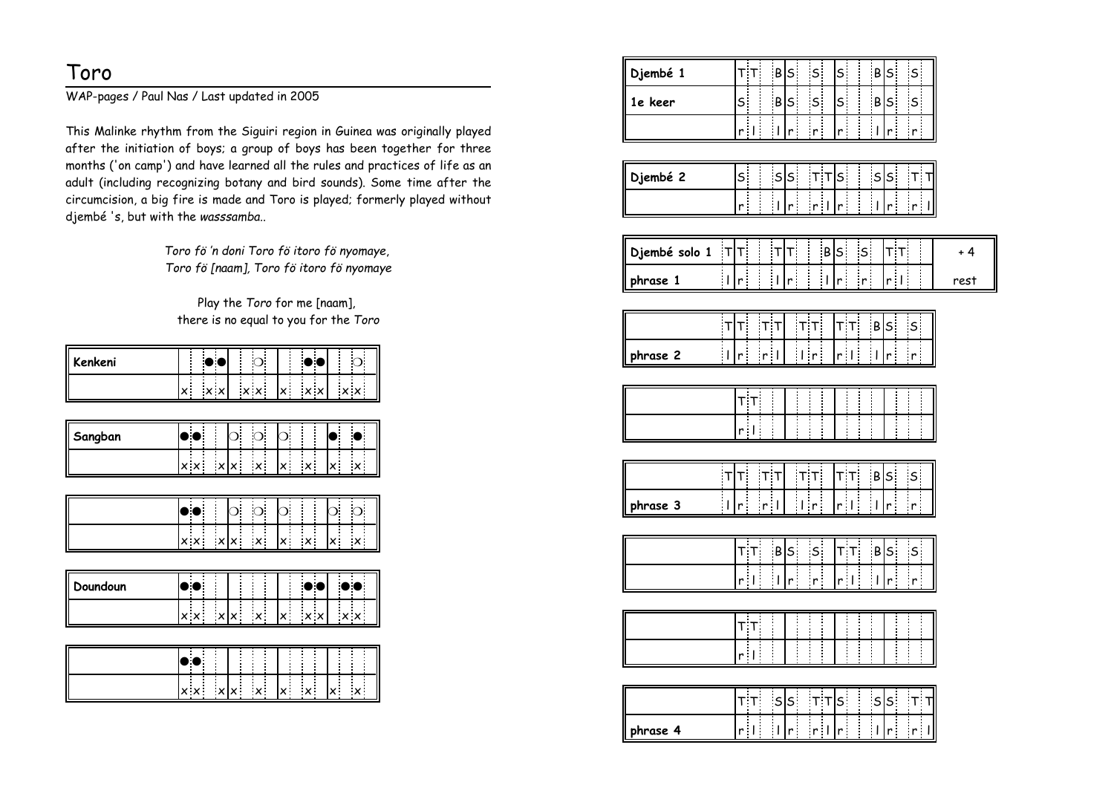## Toro

WAP-pages / Paul Nas / Last updated in 2005

This Malinke rhythm from the Siguiri region in Guinea was originally played after the initiation of boys; a group of boys has been together for three months ('on camp') and have learned all the rules and practices of life as an adult (including recognizing botany and bird sounds). Some time after the circumcision, a big fire is made and Toro is played; formerly played withoutdjembé 's, but with the *wasssamba.*.

> *Toro fö 'n doni Toro fö itoro fö nyomaye*, *Toro fö [naam], Toro fö itoro fö nyomaye*

Play the *Toro* for me [naam], there is no equal to you for the *Toro*

| Kenkeni |  |  |  |     |            | ш                 | П |  | ш          |  |
|---------|--|--|--|-----|------------|-------------------|---|--|------------|--|
|         |  |  |  | x x | $\times$ . | $\times$ $\times$ |   |  | $x \times$ |  |

| Sangban | ٠.                                |
|---------|-----------------------------------|
|         | $\sim$<br>$\vee$ .<br>$\check{ }$ |

|  | $\bullet\bullet$ |  | $\log$ b $\log$ |  |                                                                                                                 |  |
|--|------------------|--|-----------------|--|-----------------------------------------------------------------------------------------------------------------|--|
|  |                  |  |                 |  | $\frac{1}{ x }$ $\frac{1}{ x }$ $\frac{1}{ x }$ $\frac{1}{ x }$ $\frac{1}{ x }$ $\frac{1}{ x }$ $\frac{1}{ x }$ |  |

| Doundoun |     |  |       |     |     |                                             |     |
|----------|-----|--|-------|-----|-----|---------------------------------------------|-----|
|          | x x |  | ∵xlv∶ | ∴×∴ | lv: | $\boldsymbol{\times}$ $\boldsymbol{\times}$ | X X |

|  |  |  | <b>Contract Contract</b><br>and the con- |  |                  |  |  |
|--|--|--|------------------------------------------|--|------------------|--|--|
|  |  |  |                                          |  | $ x  \times  x $ |  |  |

| Djembé 1                   | T                                                  |                                                       |                                           |                                                            |      |
|----------------------------|----------------------------------------------------|-------------------------------------------------------|-------------------------------------------|------------------------------------------------------------|------|
|                            |                                                    | B S                                                   | $\mathsf{s}$<br>$S^{\dagger}$             | $\mathsf{s}$<br>B S                                        |      |
| 1e keer                    | İ<br>$\mathsf{s}^{\scriptscriptstyle{\mathsf{T}}}$ | B S                                                   | $\mathsf S$<br>$S^{\dagger}$              | B S <br>$\mathsf{s}$                                       |      |
|                            | $r \perp$                                          | $\mathsf{r}^{\mathbb{I}}$<br>$\overline{\phantom{a}}$ | $\mathbf{r}$<br>$\mathsf{r}^{\mathbb{I}}$ | $\mathbf{r}$<br>$\frac{r}{2}$<br>$\mathbf{I}$              |      |
|                            |                                                    |                                                       |                                           |                                                            |      |
| Djembé 2                   | $\mathsf{S}^{\mathsf{T}}$                          | s s                                                   | $T$ $T$<br>$S_{-}$<br>ŧ.                  | $T$ $T$<br>s s                                             |      |
|                            | r.                                                 | $\vert r \vert$<br>H                                  | $r^+$<br>r <sub>1</sub>                   | r <sub>1</sub><br>$\mathsf{r}^+$<br>11                     |      |
| $\top$                     | Τ.                                                 | İΤ<br>Т.                                              | $\mathsf{s}$<br>$\mathsf S$<br>$\,$ B     | İ<br>T T                                                   | $+4$ |
| Djembé solo 1              |                                                    |                                                       |                                           |                                                            |      |
| Ì.<br>phrase 1             | ŧ<br>$\mathsf{r}$                                  | $\mathsf{r}^+$<br>Π                                   | 'n.<br>Π<br>$\mathbf{r}$                  | $r \perp$                                                  | rest |
| $\mathsf{T}$               | т¦                                                 | T<br>T                                                | T                                         | B S <br>$\mathsf{s}$                                       |      |
| $\frac{1}{2}$              |                                                    |                                                       |                                           |                                                            |      |
| phrase 2                   | $\vert r \vert$                                    | $\mathbf{r}$<br>r <sub>1</sub>                        | $r \perp$                                 | $\mathbf{r}$<br>$\frac{1}{2}$<br>$\mathsf{r}$              |      |
|                            | $T$ T                                              | I                                                     |                                           |                                                            |      |
|                            | $r \perp$                                          |                                                       |                                           | i<br>I<br>I<br>I<br>I                                      |      |
|                            |                                                    |                                                       |                                           |                                                            |      |
| $\mathsf{T}$               | T¦                                                 | TT.<br>$T$ $T$                                        | ד ד                                       | $S^+$<br>B<br>$\sf S$                                      |      |
| $\overline{1}$<br>phrase 3 | $\mathbf{r}$ .                                     | r <br>$r \mid$                                        | $r \perp$                                 | $r^{\frac{1}{2}}$<br>÷Γ<br>$\mathsf{r}$                    |      |
|                            |                                                    |                                                       |                                           |                                                            |      |
|                            | T                                                  | B S                                                   | $\mathsf{s}$<br>T                         | B S<br>$\mathsf{S}$                                        |      |
|                            | $r \perp$                                          | İΙ<br>$\mathbf{r}^{\top}$                             | $\mathbf{r}$ .<br>$r \perp$               | $\mathsf{r}^{\perp}$<br>$\mathbf{I}$<br>$\mathbf{r}$       |      |
|                            |                                                    |                                                       |                                           |                                                            |      |
|                            | $T$ T                                              |                                                       |                                           |                                                            |      |
|                            | $\frac{r}{r}$                                      | Ī<br>Ĩ,<br>÷                                          | Ī<br>Ì<br>Ĩ,<br>÷                         | ÷<br>I<br>Ţ<br>ŧ<br>ŧ<br>$\mathcal{L} \subset \mathcal{L}$ |      |
|                            |                                                    |                                                       |                                           |                                                            |      |
|                            |                                                    |                                                       |                                           |                                                            |      |
|                            | T                                                  | $ s s$ $\tau$ $\tau$ $ s $                            |                                           | s s <br>$T$ $T$                                            |      |